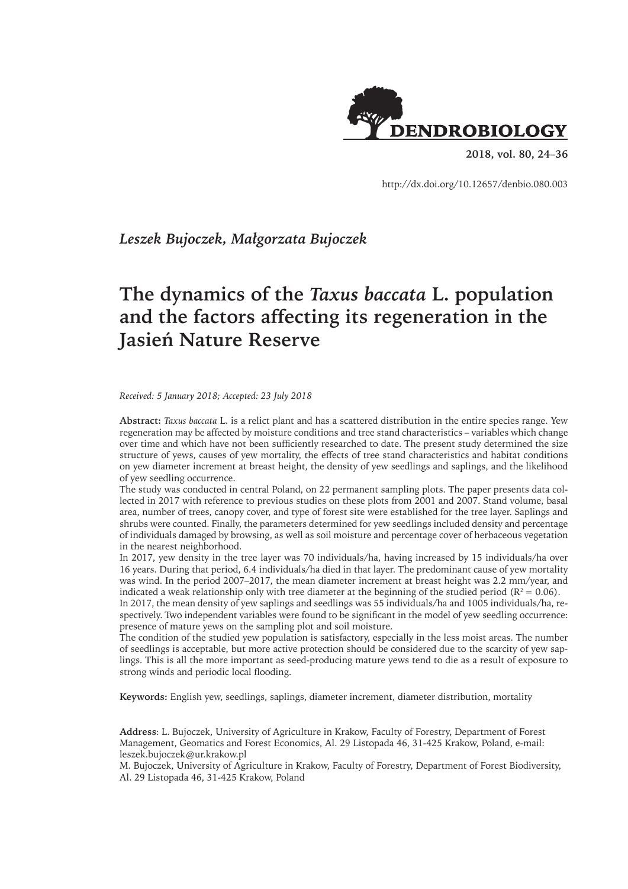

**2018, vol. 80, 24–36**

http://dx.doi.org/10.12657/denbio.080.003

*Leszek Bujoczek, Małgorzata Bujoczek*

# **The dynamics of the** *Taxus baccata* **L. population and the factors affecting its regeneration in the Jasień Nature Reserve**

#### *Received: 5 January 2018; Accepted: 23 July 2018*

**Abstract:** *Taxus baccata* L. is a relict plant and has a scattered distribution in the entire species range. Yew regeneration may be affected by moisture conditions and tree stand characteristics – variables which change over time and which have not been sufficiently researched to date. The present study determined the size structure of yews, causes of yew mortality, the effects of tree stand characteristics and habitat conditions on yew diameter increment at breast height, the density of yew seedlings and saplings, and the likelihood of yew seedling occurrence.

The study was conducted in central Poland, on 22 permanent sampling plots. The paper presents data collected in 2017 with reference to previous studies on these plots from 2001 and 2007. Stand volume, basal area, number of trees, canopy cover, and type of forest site were established for the tree layer. Saplings and shrubs were counted. Finally, the parameters determined for yew seedlings included density and percentage of individuals damaged by browsing, as well as soil moisture and percentage cover of herbaceous vegetation in the nearest neighborhood.

In 2017, yew density in the tree layer was 70 individuals/ha, having increased by 15 individuals/ha over 16 years. During that period, 6.4 individuals/ha died in that layer. The predominant cause of yew mortality was wind. In the period 2007–2017, the mean diameter increment at breast height was 2.2 mm/year, and indicated a weak relationship only with tree diameter at the beginning of the studied period ( $R^2 = 0.06$ ).

In 2017, the mean density of yew saplings and seedlings was 55 individuals/ha and 1005 individuals/ha, respectively. Two independent variables were found to be significant in the model of yew seedling occurrence: presence of mature yews on the sampling plot and soil moisture.

The condition of the studied yew population is satisfactory, especially in the less moist areas. The number of seedlings is acceptable, but more active protection should be considered due to the scarcity of yew saplings. This is all the more important as seed-producing mature yews tend to die as a result of exposure to strong winds and periodic local flooding.

**Keywords:** English yew, seedlings, saplings, diameter increment, diameter distribution, mortality

**Address**: L. Bujoczek, University of Agriculture in Krakow, Faculty of Forestry, Department of Forest Management, Geomatics and Forest Economics, Al. 29 Listopada 46, 31-425 Krakow, Poland, e-mail: leszek.bujoczek@ur.krakow.pl

M. Bujoczek, University of Agriculture in Krakow, Faculty of Forestry, Department of Forest Biodiversity, Al. 29 Listopada 46, 31-425 Krakow, Poland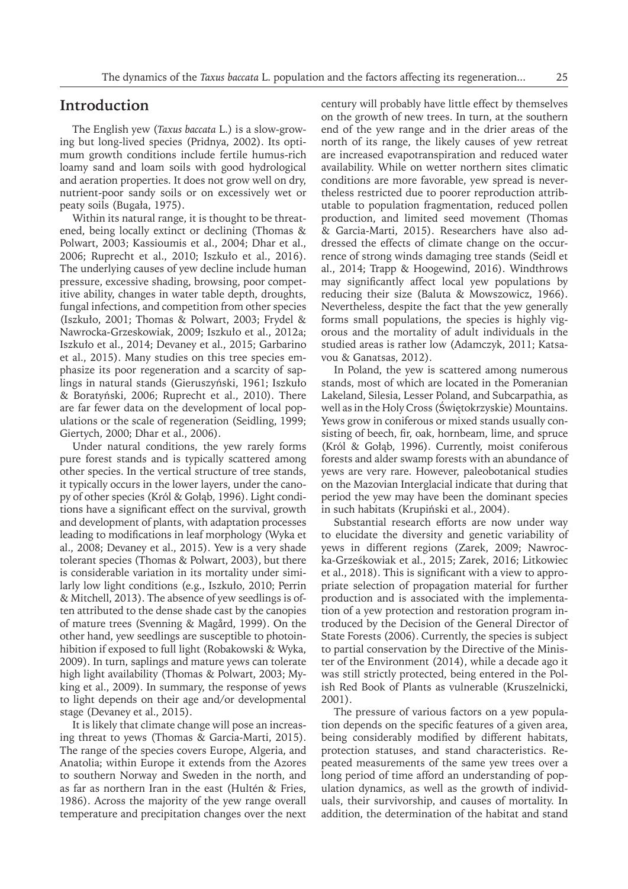## **Introduction**

The English yew (*Taxus baccata* L.) is a slow-growing but long-lived species (Pridnya, 2002). Its optimum growth conditions include fertile humus-rich loamy sand and loam soils with good hydrological and aeration properties. It does not grow well on dry, nutrient-poor sandy soils or on excessively wet or peaty soils (Bugała, 1975).

Within its natural range, it is thought to be threatened, being locally extinct or declining (Thomas & Polwart, 2003; Kassioumis et al., 2004; Dhar et al., 2006; Ruprecht et al., 2010; Iszkuło et al., 2016). The underlying causes of yew decline include human pressure, excessive shading, browsing, poor competitive ability, changes in water table depth, droughts, fungal infections, and competition from other species (Iszkuło, 2001; Thomas & Polwart, 2003; Frydel & Nawrocka-Grzeskowiak, 2009; Iszkuło et al., 2012a; Iszkuło et al., 2014; Devaney et al., 2015; Garbarino et al., 2015). Many studies on this tree species emphasize its poor regeneration and a scarcity of saplings in natural stands (Gieruszyński, 1961; Iszkuło & Boratyński, 2006; Ruprecht et al., 2010). There are far fewer data on the development of local populations or the scale of regeneration (Seidling, 1999; Giertych, 2000; Dhar et al., 2006).

Under natural conditions, the yew rarely forms pure forest stands and is typically scattered among other species. In the vertical structure of tree stands, it typically occurs in the lower layers, under the canopy of other species (Król & Gołąb, 1996). Light conditions have a significant effect on the survival, growth and development of plants, with adaptation processes leading to modifications in leaf morphology (Wyka et al., 2008; Devaney et al., 2015). Yew is a very shade tolerant species (Thomas & Polwart, 2003), but there is considerable variation in its mortality under similarly low light conditions (e.g., Iszkuło, 2010; Perrin & Mitchell, 2013). The absence of yew seedlings is often attributed to the dense shade cast by the canopies of mature trees (Svenning & Magård, 1999). On the other hand, yew seedlings are susceptible to photoinhibition if exposed to full light (Robakowski & Wyka, 2009). In turn, saplings and mature yews can tolerate high light availability (Thomas & Polwart, 2003; Myking et al., 2009). In summary, the response of yews to light depends on their age and/or developmental stage (Devaney et al., 2015).

It is likely that climate change will pose an increasing threat to yews (Thomas & Garcia-Marti, 2015). The range of the species covers Europe, Algeria, and Anatolia; within Europe it extends from the Azores to southern Norway and Sweden in the north, and as far as northern Iran in the east (Hultén & Fries, 1986). Across the majority of the yew range overall temperature and precipitation changes over the next century will probably have little effect by themselves on the growth of new trees. In turn, at the southern end of the yew range and in the drier areas of the north of its range, the likely causes of yew retreat are increased evapotranspiration and reduced water availability. While on wetter northern sites climatic conditions are more favorable, yew spread is nevertheless restricted due to poorer reproduction attributable to population fragmentation, reduced pollen production, and limited seed movement (Thomas & Garcia-Marti, 2015). Researchers have also addressed the effects of climate change on the occurrence of strong winds damaging tree stands (Seidl et al., 2014; Trapp & Hoogewind, 2016). Windthrows may significantly affect local yew populations by reducing their size (Baluta & Mowszowicz, 1966). Nevertheless, despite the fact that the yew generally forms small populations, the species is highly vigorous and the mortality of adult individuals in the studied areas is rather low (Adamczyk, 2011; Katsavou & Ganatsas, 2012).

In Poland, the yew is scattered among numerous stands, most of which are located in the Pomeranian Lakeland, Silesia, Lesser Poland, and Subcarpathia, as well as in the Holy Cross (Świętokrzyskie) Mountains. Yews grow in coniferous or mixed stands usually consisting of beech, fir, oak, hornbeam, lime, and spruce (Król & Gołąb, 1996). Currently, moist coniferous forests and alder swamp forests with an abundance of yews are very rare. However, paleobotanical studies on the Mazovian Interglacial indicate that during that period the yew may have been the dominant species in such habitats (Krupiński et al., 2004).

Substantial research efforts are now under way to elucidate the diversity and genetic variability of yews in different regions (Zarek, 2009; Nawrocka-Grześkowiak et al., 2015; Zarek, 2016; Litkowiec et al., 2018). This is significant with a view to appropriate selection of propagation material for further production and is associated with the implementation of a yew protection and restoration program introduced by the Decision of the General Director of State Forests (2006). Currently, the species is subject to partial conservation by the Directive of the Minister of the Environment (2014), while a decade ago it was still strictly protected, being entered in the Polish Red Book of Plants as vulnerable (Kruszelnicki, 2001).

The pressure of various factors on a yew population depends on the specific features of a given area, being considerably modified by different habitats, protection statuses, and stand characteristics. Repeated measurements of the same yew trees over a long period of time afford an understanding of population dynamics, as well as the growth of individuals, their survivorship, and causes of mortality. In addition, the determination of the habitat and stand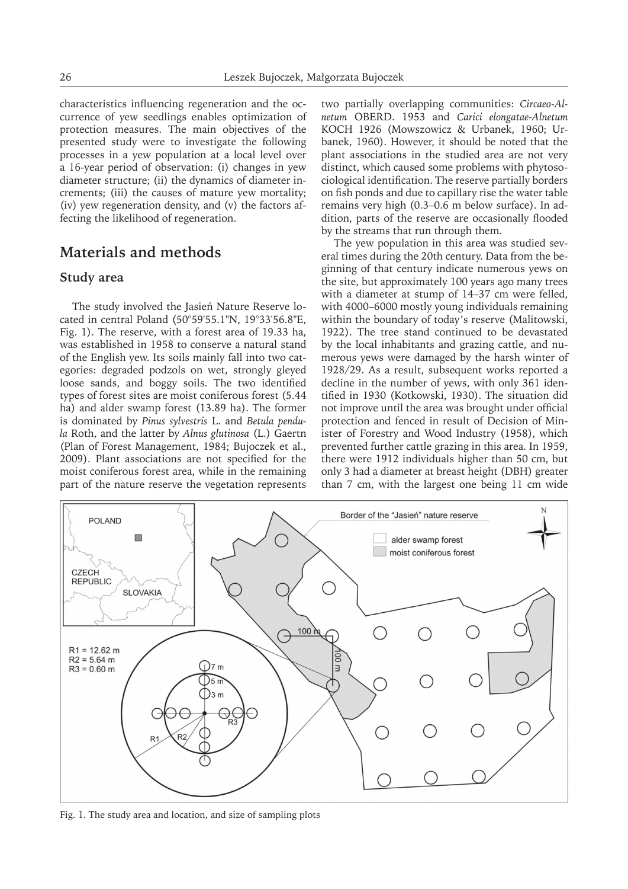characteristics influencing regeneration and the occurrence of yew seedlings enables optimization of protection measures. The main objectives of the presented study were to investigate the following processes in a yew population at a local level over a 16-year period of observation: (i) changes in yew diameter structure; (ii) the dynamics of diameter increments; (iii) the causes of mature yew mortality; (iv) yew regeneration density, and (v) the factors affecting the likelihood of regeneration.

# **Materials and methods**

## **Study area**

The study involved the Jasień Nature Reserve located in central Poland (50°59'55.1"N, 19°33'56.8"E, Fig. 1). The reserve, with a forest area of 19.33 ha, was established in 1958 to conserve a natural stand of the English yew. Its soils mainly fall into two categories: degraded podzols on wet, strongly gleyed loose sands, and boggy soils. The two identified types of forest sites are moist coniferous forest (5.44 ha) and alder swamp forest (13.89 ha). The former is dominated by *Pinus sylvestris* L. and *Betula pendula* Roth, and the latter by *Alnus glutinosa* (L.) Gaertn (Plan of Forest Management, 1984; Bujoczek et al., 2009). Plant associations are not specified for the moist coniferous forest area, while in the remaining part of the nature reserve the vegetation represents

two partially overlapping communities: *Circaeo-Alnetum* OBERD. 1953 and *Carici elongatae-Alnetum*  KOCH 1926 (Mowszowicz & Urbanek, 1960; Urbanek, 1960). However, it should be noted that the plant associations in the studied area are not very distinct, which caused some problems with phytosociological identification. The reserve partially borders on fish ponds and due to capillary rise the water table remains very high (0.3–0.6 m below surface). In addition, parts of the reserve are occasionally flooded by the streams that run through them.

The yew population in this area was studied several times during the 20th century. Data from the beginning of that century indicate numerous yews on the site, but approximately 100 years ago many trees with a diameter at stump of 14–37 cm were felled, with 4000–6000 mostly young individuals remaining within the boundary of today's reserve (Malitowski, 1922). The tree stand continued to be devastated by the local inhabitants and grazing cattle, and numerous yews were damaged by the harsh winter of 1928/29. As a result, subsequent works reported a decline in the number of yews, with only 361 identified in 1930 (Kotkowski, 1930). The situation did not improve until the area was brought under official protection and fenced in result of Decision of Minister of Forestry and Wood Industry (1958), which prevented further cattle grazing in this area. In 1959, there were 1912 individuals higher than 50 cm, but only 3 had a diameter at breast height (DBH) greater than 7 cm, with the largest one being 11 cm wide



Fig. 1. The study area and location, and size of sampling plots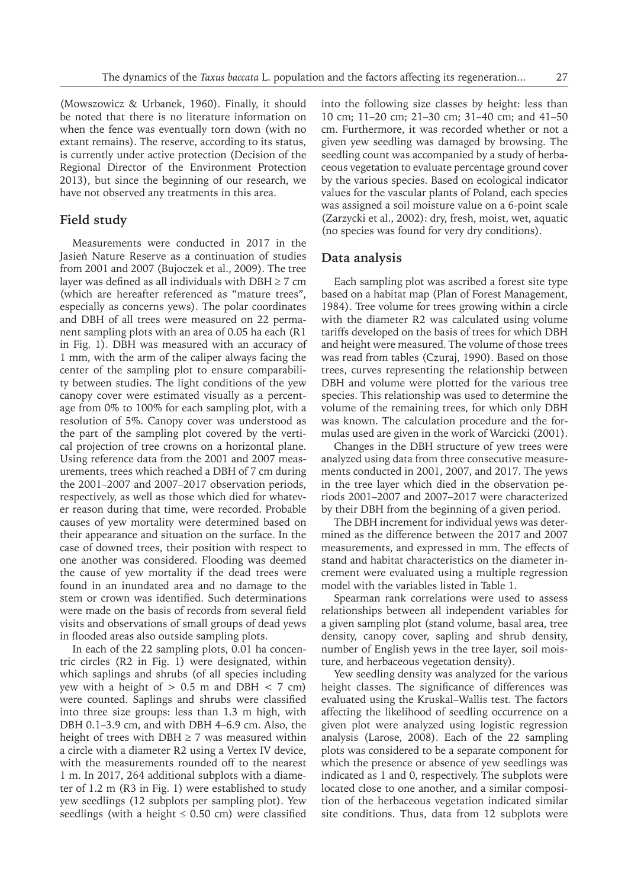(Mowszowicz & Urbanek, 1960). Finally, it should be noted that there is no literature information on when the fence was eventually torn down (with no extant remains). The reserve, according to its status, is currently under active protection (Decision of the Regional Director of the Environment Protection 2013), but since the beginning of our research, we have not observed any treatments in this area.

## **Field study**

Measurements were conducted in 2017 in the Jasień Nature Reserve as a continuation of studies from 2001 and 2007 (Bujoczek et al., 2009). The tree layer was defined as all individuals with DBH  $\geq$  7 cm (which are hereafter referenced as "mature trees", especially as concerns yews). The polar coordinates and DBH of all trees were measured on 22 permanent sampling plots with an area of 0.05 ha each (R1 in Fig. 1). DBH was measured with an accuracy of 1 mm, with the arm of the caliper always facing the center of the sampling plot to ensure comparability between studies. The light conditions of the yew canopy cover were estimated visually as a percentage from 0% to 100% for each sampling plot, with a resolution of 5%. Canopy cover was understood as the part of the sampling plot covered by the vertical projection of tree crowns on a horizontal plane. Using reference data from the 2001 and 2007 measurements, trees which reached a DBH of 7 cm during the 2001–2007 and 2007–2017 observation periods, respectively, as well as those which died for whatever reason during that time, were recorded. Probable causes of yew mortality were determined based on their appearance and situation on the surface. In the case of downed trees, their position with respect to one another was considered. Flooding was deemed the cause of yew mortality if the dead trees were found in an inundated area and no damage to the stem or crown was identified. Such determinations were made on the basis of records from several field visits and observations of small groups of dead yews in flooded areas also outside sampling plots.

In each of the 22 sampling plots, 0.01 ha concentric circles (R2 in Fig. 1) were designated, within which saplings and shrubs (of all species including yew with a height of  $> 0.5$  m and DBH  $< 7$  cm) were counted. Saplings and shrubs were classified into three size groups: less than 1.3 m high, with DBH 0.1–3.9 cm, and with DBH 4–6.9 cm. Also, the height of trees with DBH  $\geq$  7 was measured within a circle with a diameter R2 using a Vertex IV device, with the measurements rounded off to the nearest 1 m. In 2017, 264 additional subplots with a diameter of 1.2 m (R3 in Fig. 1) were established to study yew seedlings (12 subplots per sampling plot). Yew seedlings (with a height  $\leq$  0.50 cm) were classified into the following size classes by height: less than 10 cm; 11–20 cm; 21–30 cm; 31–40 cm; and 41–50 cm. Furthermore, it was recorded whether or not a given yew seedling was damaged by browsing. The seedling count was accompanied by a study of herbaceous vegetation to evaluate percentage ground cover by the various species. Based on ecological indicator values for the vascular plants of Poland, each species was assigned a soil moisture value on a 6-point scale (Zarzycki et al., 2002): dry, fresh, moist, wet, aquatic (no species was found for very dry conditions).

#### **Data analysis**

Each sampling plot was ascribed a forest site type based on a habitat map (Plan of Forest Management, 1984). Tree volume for trees growing within a circle with the diameter R2 was calculated using volume tariffs developed on the basis of trees for which DBH and height were measured. The volume of those trees was read from tables (Czuraj, 1990). Based on those trees, curves representing the relationship between DBH and volume were plotted for the various tree species. This relationship was used to determine the volume of the remaining trees, for which only DBH was known. The calculation procedure and the formulas used are given in the work of Warcicki (2001).

Changes in the DBH structure of yew trees were analyzed using data from three consecutive measurements conducted in 2001, 2007, and 2017. The yews in the tree layer which died in the observation periods 2001–2007 and 2007–2017 were characterized by their DBH from the beginning of a given period.

The DBH increment for individual yews was determined as the difference between the 2017 and 2007 measurements, and expressed in mm. The effects of stand and habitat characteristics on the diameter increment were evaluated using a multiple regression model with the variables listed in Table 1.

Spearman rank correlations were used to assess relationships between all independent variables for a given sampling plot (stand volume, basal area, tree density, canopy cover, sapling and shrub density, number of English yews in the tree layer, soil moisture, and herbaceous vegetation density).

Yew seedling density was analyzed for the various height classes. The significance of differences was evaluated using the Kruskal–Wallis test. The factors affecting the likelihood of seedling occurrence on a given plot were analyzed using logistic regression analysis (Larose, 2008). Each of the 22 sampling plots was considered to be a separate component for which the presence or absence of yew seedlings was indicated as 1 and 0, respectively. The subplots were located close to one another, and a similar composition of the herbaceous vegetation indicated similar site conditions. Thus, data from 12 subplots were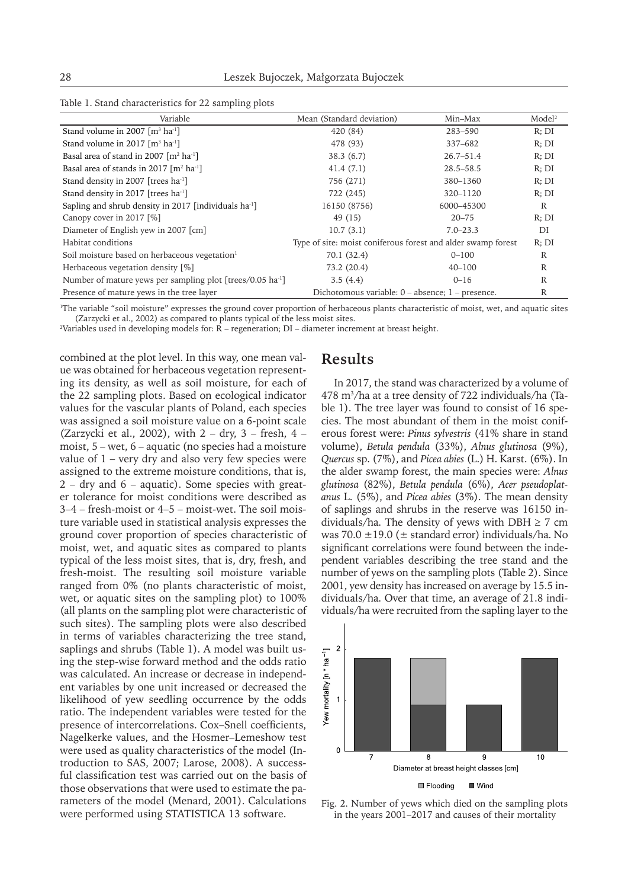| Variable                                                                                          | Mean (Standard deviation)                                    | Min-Max       | Model <sup>2</sup> |  |
|---------------------------------------------------------------------------------------------------|--------------------------------------------------------------|---------------|--------------------|--|
| Stand volume in 2007 $\lceil m^3 \text{ ha}^{-1} \rceil$                                          | 420 (84)                                                     | 283-590       | R:DI               |  |
| Stand volume in 2017 $\lceil m^3 \text{ ha}^{-1} \rceil$                                          | 478 (93)                                                     | 337-682       | R:DI               |  |
| Basal area of stand in 2007 $\lceil m^2 \text{ ha}^{-1} \rceil$                                   | 38.3(6.7)                                                    | $26.7 - 51.4$ | R:DI               |  |
| Basal area of stands in 2017 $\lceil m^2 \text{ ha}^1 \rceil$                                     | 41.4(7.1)                                                    | $28.5 - 58.5$ | R:DI               |  |
| Stand density in 2007 [trees ha <sup>-1</sup> ]                                                   | 756 (271)                                                    | 380-1360      | R:DI               |  |
| Stand density in 2017 [trees ha <sup>-1</sup> ]                                                   | 722 (245)                                                    | 320-1120      | R:DI               |  |
| Sapling and shrub density in 2017 [individuals ha <sup>-1</sup> ]                                 | 16150 (8756)                                                 | 6000-45300    | R                  |  |
| Canopy cover in 2017 [%]                                                                          | 49 (15)                                                      | $20 - 75$     | R:DI               |  |
| Diameter of English yew in 2007 [cm]                                                              | 10.7(3.1)                                                    | $7.0 - 23.3$  | DI                 |  |
| Habitat conditions                                                                                | Type of site: moist coniferous forest and alder swamp forest |               |                    |  |
| Soil moisture based on herbaceous vegetation <sup>1</sup>                                         | 70.1 (32.4)                                                  | $0 - 100$     | R                  |  |
| Herbaceous vegetation density [%]                                                                 | 73.2 (20.4)                                                  | $40 - 100$    | R                  |  |
| Number of mature yews per sampling plot [trees/0.05 ha <sup>-1</sup> ]                            | 3.5(4.4)                                                     | $0 - 16$      | R                  |  |
| Presence of mature yews in the tree layer<br>Dichotomous variable: $0$ – absence; $1$ – presence. |                                                              |               |                    |  |

Table 1. Stand characteristics for 22 sampling plots

1 The variable "soil moisture" expresses the ground cover proportion of herbaceous plants characteristic of moist, wet, and aquatic sites (Zarzycki et al., 2002) as compared to plants typical of the less moist sites.

2 Variables used in developing models for: R – regeneration; DI – diameter increment at breast height.

combined at the plot level. In this way, one mean value was obtained for herbaceous vegetation representing its density, as well as soil moisture, for each of the 22 sampling plots. Based on ecological indicator values for the vascular plants of Poland, each species was assigned a soil moisture value on a 6-point scale (Zarzycki et al., 2002), with  $2 - dry$ ,  $3 - fresh$ ,  $4$ moist, 5 – wet, 6 – aquatic (no species had a moisture value of 1 – very dry and also very few species were assigned to the extreme moisture conditions, that is, 2 – dry and 6 – aquatic). Some species with greater tolerance for moist conditions were described as 3–4 – fresh-moist or 4–5 – moist-wet. The soil moisture variable used in statistical analysis expresses the ground cover proportion of species characteristic of moist, wet, and aquatic sites as compared to plants typical of the less moist sites, that is, dry, fresh, and fresh-moist. The resulting soil moisture variable ranged from 0% (no plants characteristic of moist, wet, or aquatic sites on the sampling plot) to 100% (all plants on the sampling plot were characteristic of such sites). The sampling plots were also described in terms of variables characterizing the tree stand, saplings and shrubs (Table 1). A model was built using the step-wise forward method and the odds ratio was calculated. An increase or decrease in independent variables by one unit increased or decreased the likelihood of yew seedling occurrence by the odds ratio. The independent variables were tested for the presence of intercorrelations. Cox–Snell coefficients, Nagelkerke values, and the Hosmer–Lemeshow test were used as quality characteristics of the model (Introduction to SAS, 2007; Larose, 2008). A successful classification test was carried out on the basis of those observations that were used to estimate the parameters of the model (Menard, 2001). Calculations were performed using STATISTICA 13 software.

## **Results**

In 2017, the stand was characterized by a volume of 478 m3 /ha at a tree density of 722 individuals/ha (Table 1). The tree layer was found to consist of 16 species. The most abundant of them in the moist coniferous forest were: *Pinus sylvestris* (41% share in stand volume), *Betula pendula* (33%), *Alnus glutinosa* (9%), *Quercus* sp. (7%), and *Picea abies* (L.) H. Karst. (6%). In the alder swamp forest, the main species were: *Alnus glutinosa* (82%), *Betula pendula* (6%), *Acer pseudoplatanus* L. (5%), and *Picea abies* (3%). The mean density of saplings and shrubs in the reserve was 16150 individuals/ha. The density of yews with DBH  $\geq$  7 cm was 70.0  $\pm$  19.0 ( $\pm$  standard error) individuals/ha. No significant correlations were found between the independent variables describing the tree stand and the number of yews on the sampling plots (Table 2). Since 2001, yew density has increased on average by 15.5 individuals/ha. Over that time, an average of 21.8 individuals/ha were recruited from the sapling layer to the



Fig. 2. Number of yews which died on the sampling plots in the years 2001–2017 and causes of their mortality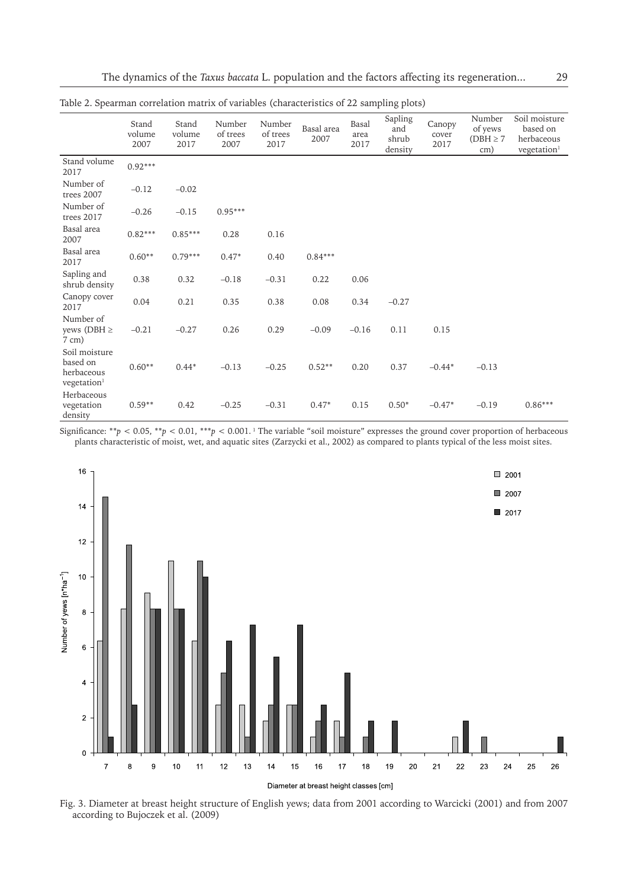|                                                                       | Stand<br>volume<br>2007 | Stand<br>volume<br>2017 | Number<br>of trees<br>2007 | Number<br>of trees<br>2017 | Basal area<br>2007 | Basal<br>area<br>2017 | Sapling<br>and<br>shrub<br>density | Canopy<br>cover<br>2017 | Number<br>of yews<br>$(DBH \geq 7)$<br>cm) | Soil moisture<br>based on<br>herbaceous<br>vegetation <sup>1</sup> |
|-----------------------------------------------------------------------|-------------------------|-------------------------|----------------------------|----------------------------|--------------------|-----------------------|------------------------------------|-------------------------|--------------------------------------------|--------------------------------------------------------------------|
| Stand volume<br>2017                                                  | $0.92***$               |                         |                            |                            |                    |                       |                                    |                         |                                            |                                                                    |
| Number of<br>trees 2007                                               | $-0.12$                 | $-0.02$                 |                            |                            |                    |                       |                                    |                         |                                            |                                                                    |
| Number of<br>trees 2017                                               | $-0.26$                 | $-0.15$                 | $0.95***$                  |                            |                    |                       |                                    |                         |                                            |                                                                    |
| Basal area<br>2007                                                    | $0.82***$               | $0.85***$               | 0.28                       | 0.16                       |                    |                       |                                    |                         |                                            |                                                                    |
| Basal area<br>2017                                                    | $0.60**$                | $0.79***$               | $0.47*$                    | 0.40                       | $0.84***$          |                       |                                    |                         |                                            |                                                                    |
| Sapling and<br>shrub density                                          | 0.38                    | 0.32                    | $-0.18$                    | $-0.31$                    | 0.22               | 0.06                  |                                    |                         |                                            |                                                                    |
| Canopy cover<br>2017                                                  | 0.04                    | 0.21                    | 0.35                       | 0.38                       | 0.08               | 0.34                  | $-0.27$                            |                         |                                            |                                                                    |
| Number of<br>yews (DBH $\geq$<br>$7$ cm)                              | $-0.21$                 | $-0.27$                 | 0.26                       | 0.29                       | $-0.09$            | $-0.16$               | 0.11                               | 0.15                    |                                            |                                                                    |
| Soil moisture<br>based on<br>herbaceous<br>$v$ egetation <sup>1</sup> | $0.60**$                | $0.44*$                 | $-0.13$                    | $-0.25$                    | $0.52**$           | 0.20                  | 0.37                               | $-0.44*$                | $-0.13$                                    |                                                                    |
| Herbaceous<br>vegetation<br>density                                   | $0.59**$                | 0.42                    | $-0.25$                    | $-0.31$                    | $0.47*$            | 0.15                  | $0.50*$                            | $-0.47*$                | $-0.19$                                    | $0.86***$                                                          |

Table 2. Spearman correlation matrix of variables (characteristics of 22 sampling plots)

Significance: \*\* $p < 0.05$ , \*\* $p < 0.01$ , \*\*\* $p < 0.001$ .<sup>1</sup> The variable "soil moisture" expresses the ground cover proportion of herbaceous plants characteristic of moist, wet, and aquatic sites (Zarzycki et al., 2002) as compared to plants typical of the less moist sites.



Fig. 3. Diameter at breast height structure of English yews; data from 2001 according to Warcicki (2001) and from 2007 according to Bujoczek et al. (2009)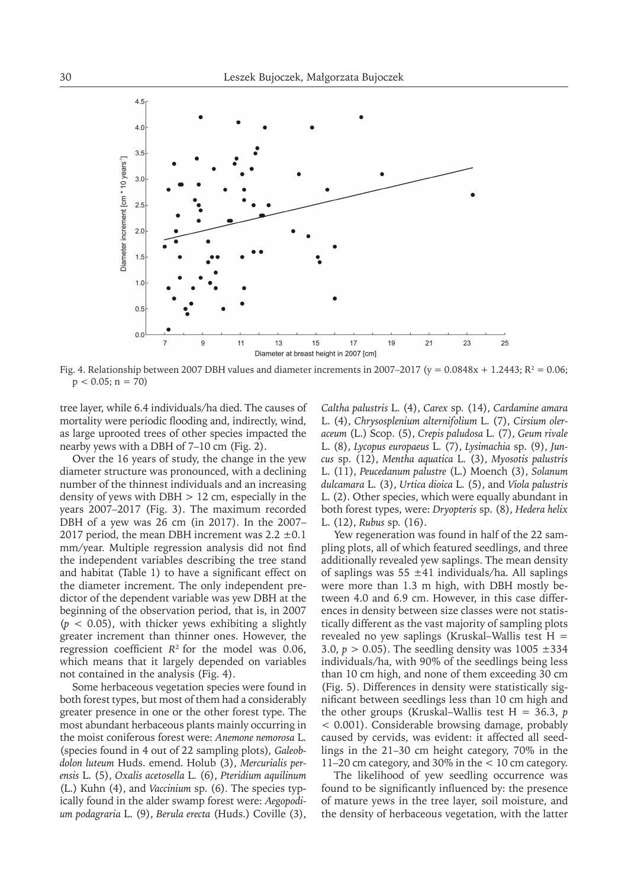

Fig. 4. Relationship between 2007 DBH values and diameter increments in 2007–2017 (y = 0.0848x + 1.2443; R<sup>2</sup> = 0.06;  $p < 0.05$ ;  $n = 70$ )

tree layer, while 6.4 individuals/ha died. The causes of mortality were periodic flooding and, indirectly, wind, as large uprooted trees of other species impacted the nearby yews with a DBH of 7–10 cm (Fig. 2).

Over the 16 years of study, the change in the yew diameter structure was pronounced, with a declining number of the thinnest individuals and an increasing density of yews with  $DBH > 12$  cm, especially in the years 2007–2017 (Fig. 3). The maximum recorded DBH of a yew was 26 cm (in 2017). In the 2007– 2017 period, the mean DBH increment was  $2.2 \pm 0.1$ mm/year. Multiple regression analysis did not find the independent variables describing the tree stand and habitat (Table 1) to have a significant effect on the diameter increment. The only independent predictor of the dependent variable was yew DBH at the beginning of the observation period, that is, in 2007  $(p < 0.05)$ , with thicker yews exhibiting a slightly greater increment than thinner ones. However, the regression coefficient  $R^2$  for the model was 0.06, which means that it largely depended on variables not contained in the analysis (Fig. 4).

Some herbaceous vegetation species were found in both forest types, but most of them had a considerably greater presence in one or the other forest type. The most abundant herbaceous plants mainly occurring in the moist coniferous forest were: *Anemone nemorosa* L. (species found in 4 out of 22 sampling plots)*, Galeobdolon luteum* Huds. emend. Holub (3), *Mercurialis perensis* L. (5), *Oxalis acetosella* L. (6), *Pteridium aquilinum* (L.) Kuhn (4), and *Vaccinium* sp. (6)*.* The species typically found in the alder swamp forest were: *Aegopodium podagraria* L. (9), *Berula erecta* (Huds.) Coville (3),

*Caltha palustris* L. (4), *Carex* sp*.* (14), *Cardamine amara*  L. (4), *Chrysosplenium alternifolium* L. (7), *Cirsium oleraceum* (L.) Scop. (5), *Crepis paludosa* L. (7), *Geum rivale* L. (8), *Lycopus europaeus* L. (7), *Lysimachia* sp. (9), *Juncus* sp. (12), *Mentha aquatica* L. (3), *Myosotis palustris*  L. (11), *Peucedanum palustre* (L.) Moench (3), *Solanum dulcamara* L. (3), *Urtica dioica* L. (5), and *Viola palustris*  L. (2). Other species, which were equally abundant in both forest types, were: *Dryopteris* sp. (8), *Hedera helix* L. (12), *Rubus* sp*.* (16).

Yew regeneration was found in half of the 22 sampling plots, all of which featured seedlings, and three additionally revealed yew saplings. The mean density of saplings was  $55 \pm 41$  individuals/ha. All saplings were more than 1.3 m high, with DBH mostly between 4.0 and 6.9 cm. However, in this case differences in density between size classes were not statistically different as the vast majority of sampling plots revealed no yew saplings (Kruskal–Wallis test  $H =$ 3.0,  $p > 0.05$ ). The seedling density was  $1005 \pm 334$ individuals/ha, with 90% of the seedlings being less than 10 cm high, and none of them exceeding 30 cm (Fig. 5). Differences in density were statistically significant between seedlings less than 10 cm high and the other groups (Kruskal–Wallis test  $H = 36.3$ , *p* < 0.001). Considerable browsing damage, probably caused by cervids, was evident: it affected all seedlings in the 21–30 cm height category, 70% in the 11–20 cm category, and 30% in the < 10 cm category.

The likelihood of yew seedling occurrence was found to be significantly influenced by: the presence of mature yews in the tree layer, soil moisture, and the density of herbaceous vegetation, with the latter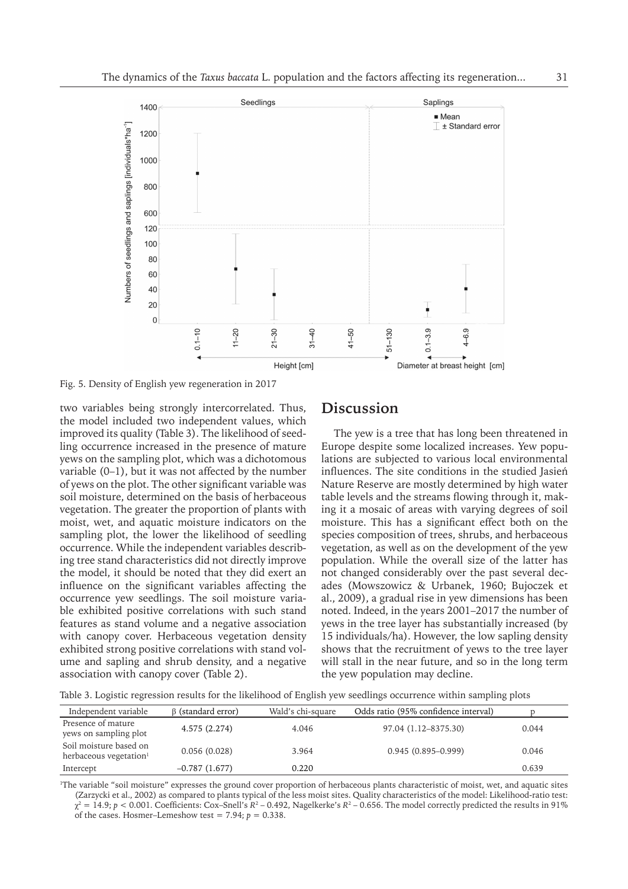

Fig. 5. Density of English yew regeneration in 2017

two variables being strongly intercorrelated. Thus, the model included two independent values, which improved its quality (Table 3). The likelihood of seedling occurrence increased in the presence of mature yews on the sampling plot, which was a dichotomous variable (0–1), but it was not affected by the number of yews on the plot. The other significant variable was soil moisture, determined on the basis of herbaceous vegetation. The greater the proportion of plants with moist, wet, and aquatic moisture indicators on the sampling plot, the lower the likelihood of seedling occurrence. While the independent variables describing tree stand characteristics did not directly improve the model, it should be noted that they did exert an influence on the significant variables affecting the occurrence yew seedlings. The soil moisture variable exhibited positive correlations with such stand features as stand volume and a negative association with canopy cover. Herbaceous vegetation density exhibited strong positive correlations with stand volume and sapling and shrub density, and a negative association with canopy cover (Table 2).

## **Discussion**

The yew is a tree that has long been threatened in Europe despite some localized increases. Yew populations are subjected to various local environmental influences. The site conditions in the studied Jasień Nature Reserve are mostly determined by high water table levels and the streams flowing through it, making it a mosaic of areas with varying degrees of soil moisture. This has a significant effect both on the species composition of trees, shrubs, and herbaceous vegetation, as well as on the development of the yew population. While the overall size of the latter has not changed considerably over the past several decades (Mowszowicz & Urbanek, 1960; Bujoczek et al., 2009), a gradual rise in yew dimensions has been noted. Indeed, in the years 2001–2017 the number of yews in the tree layer has substantially increased (by 15 individuals/ha). However, the low sapling density shows that the recruitment of yews to the tree layer will stall in the near future, and so in the long term the yew population may decline.

Table 3. Logistic regression results for the likelihood of English yew seedlings occurrence within sampling plots

| Independent variable                                         | $\beta$ (standard error) | Wald's chi-square | Odds ratio (95% confidence interval) |       |
|--------------------------------------------------------------|--------------------------|-------------------|--------------------------------------|-------|
| Presence of mature<br>yews on sampling plot                  | 4.575(2.274)             | 4.046             | 97.04 (1.12-8375.30)                 | 0.044 |
| Soil moisture based on<br>herbaceous vegetation <sup>1</sup> | 0.056(0.028)             | 3.964             | $0.945(0.895 - 0.999)$               | 0.046 |
| Intercept                                                    | $-0.787(1.677)$          | 0.220             |                                      | 0.639 |

1 The variable "soil moisture" expresses the ground cover proportion of herbaceous plants characteristic of moist, wet, and aquatic sites (Zarzycki et al., 2002) as compared to plants typical of the less moist sites. Quality characteristics of the model: Likelihood-ratio test:  $\chi^2 = 14.9; p < 0.001$ . Coefficients: Cox–Snell's  $R^2 - 0.492$ , Nagelkerke's  $R^2 - 0.656$ . The model correctly predicted the results in 91% of the cases. Hosmer–Lemeshow test =  $7.94$ ;  $p = 0.338$ .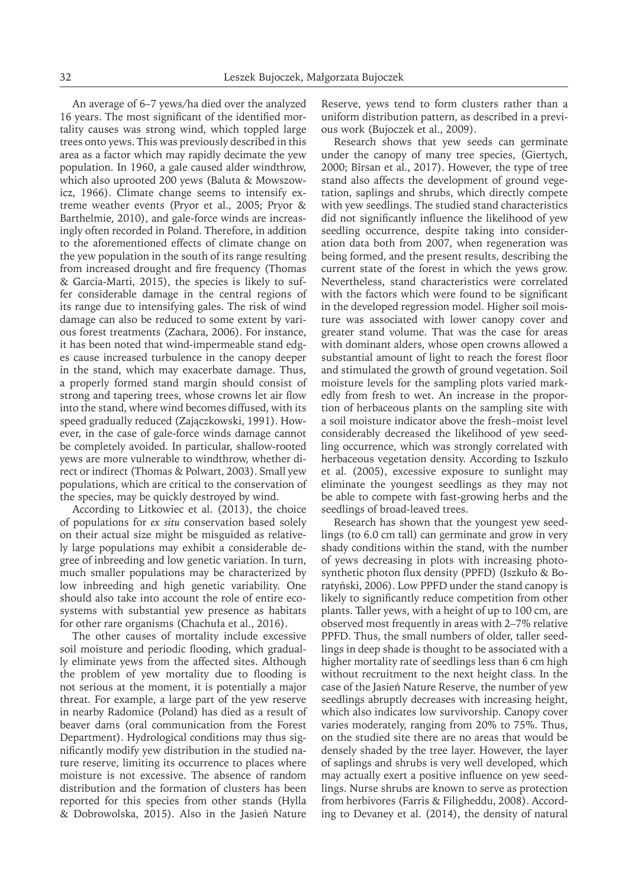An average of 6–7 yews/ha died over the analyzed 16 years. The most significant of the identified mortality causes was strong wind, which toppled large trees onto yews. This was previously described in this area as a factor which may rapidly decimate the yew population. In 1960, a gale caused alder windthrow, which also uprooted 200 yews (Baluta & Mowszowicz, 1966). Climate change seems to intensify extreme weather events (Pryor et al., 2005; Pryor & Barthelmie, 2010), and gale-force winds are increasingly often recorded in Poland. Therefore, in addition to the aforementioned effects of climate change on the yew population in the south of its range resulting from increased drought and fire frequency (Thomas & Garcia-Marti, 2015), the species is likely to suffer considerable damage in the central regions of its range due to intensifying gales. The risk of wind damage can also be reduced to some extent by various forest treatments (Zachara, 2006). For instance, it has been noted that wind-impermeable stand edges cause increased turbulence in the canopy deeper in the stand, which may exacerbate damage. Thus, a properly formed stand margin should consist of strong and tapering trees, whose crowns let air flow into the stand, where wind becomes diffused, with its speed gradually reduced (Zajączkowski, 1991). However, in the case of gale-force winds damage cannot be completely avoided. In particular, shallow-rooted yews are more vulnerable to windthrow, whether direct or indirect (Thomas & Polwart, 2003). Small yew populations, which are critical to the conservation of the species, may be quickly destroyed by wind.

According to Litkowiec et al. (2013), the choice of populations for *ex situ* conservation based solely on their actual size might be misguided as relatively large populations may exhibit a considerable degree of inbreeding and low genetic variation. In turn, much smaller populations may be characterized by low inbreeding and high genetic variability. One should also take into account the role of entire ecosystems with substantial yew presence as habitats for other rare organisms (Chachuła et al., 2016).

The other causes of mortality include excessive soil moisture and periodic flooding, which gradually eliminate yews from the affected sites. Although the problem of yew mortality due to flooding is not serious at the moment, it is potentially a major threat. For example, a large part of the yew reserve in nearby Radomice (Poland) has died as a result of beaver dams (oral communication from the Forest Department). Hydrological conditions may thus significantly modify yew distribution in the studied nature reserve, limiting its occurrence to places where moisture is not excessive. The absence of random distribution and the formation of clusters has been reported for this species from other stands (Hylla & Dobrowolska, 2015). Also in the Jasień Nature

Reserve, yews tend to form clusters rather than a uniform distribution pattern, as described in a previous work (Bujoczek et al., 2009).

Research shows that yew seeds can germinate under the canopy of many tree species, (Giertych, 2000; Bîrsan et al., 2017). However, the type of tree stand also affects the development of ground vegetation, saplings and shrubs, which directly compete with yew seedlings. The studied stand characteristics did not significantly influence the likelihood of yew seedling occurrence, despite taking into consideration data both from 2007, when regeneration was being formed, and the present results, describing the current state of the forest in which the yews grow. Nevertheless, stand characteristics were correlated with the factors which were found to be significant in the developed regression model. Higher soil moisture was associated with lower canopy cover and greater stand volume. That was the case for areas with dominant alders, whose open crowns allowed a substantial amount of light to reach the forest floor and stimulated the growth of ground vegetation. Soil moisture levels for the sampling plots varied markedly from fresh to wet. An increase in the proportion of herbaceous plants on the sampling site with a soil moisture indicator above the fresh–moist level considerably decreased the likelihood of yew seedling occurrence, which was strongly correlated with herbaceous vegetation density. According to Iszkuło et al. (2005), excessive exposure to sunlight may eliminate the youngest seedlings as they may not be able to compete with fast-growing herbs and the seedlings of broad-leaved trees.

Research has shown that the youngest yew seedlings (to 6.0 cm tall) can germinate and grow in very shady conditions within the stand, with the number of yews decreasing in plots with increasing photosynthetic photon flux density (PPFD) (Iszkuło & Boratyński, 2006). Low PPFD under the stand canopy is likely to significantly reduce competition from other plants. Taller yews, with a height of up to 100 cm, are observed most frequently in areas with 2–7% relative PPFD. Thus, the small numbers of older, taller seedlings in deep shade is thought to be associated with a higher mortality rate of seedlings less than 6 cm high without recruitment to the next height class. In the case of the Jasień Nature Reserve, the number of yew seedlings abruptly decreases with increasing height, which also indicates low survivorship. Canopy cover varies moderately, ranging from 20% to 75%. Thus, on the studied site there are no areas that would be densely shaded by the tree layer. However, the layer of saplings and shrubs is very well developed, which may actually exert a positive influence on yew seedlings. Nurse shrubs are known to serve as protection from herbivores (Farris & Filigheddu, 2008). According to Devaney et al. (2014), the density of natural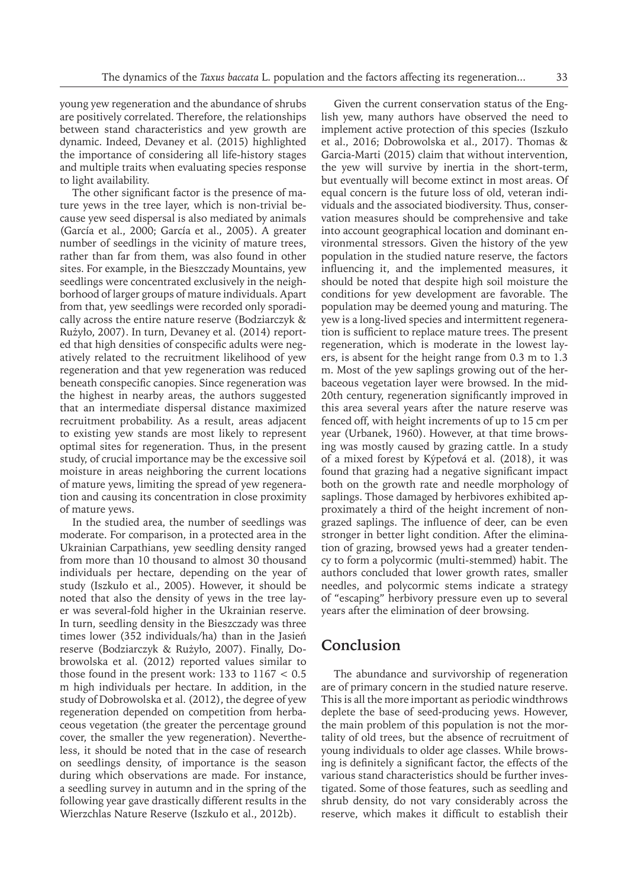young yew regeneration and the abundance of shrubs are positively correlated. Therefore, the relationships between stand characteristics and yew growth are dynamic. Indeed, Devaney et al. (2015) highlighted the importance of considering all life-history stages and multiple traits when evaluating species response to light availability.

The other significant factor is the presence of mature yews in the tree layer, which is non-trivial because yew seed dispersal is also mediated by animals (García et al., 2000; García et al., 2005). A greater number of seedlings in the vicinity of mature trees, rather than far from them, was also found in other sites. For example, in the Bieszczady Mountains, yew seedlings were concentrated exclusively in the neighborhood of larger groups of mature individuals. Apart from that, yew seedlings were recorded only sporadically across the entire nature reserve (Bodziarczyk & Rużyło, 2007). In turn, Devaney et al. (2014) reported that high densities of conspecific adults were negatively related to the recruitment likelihood of yew regeneration and that yew regeneration was reduced beneath conspecific canopies. Since regeneration was the highest in nearby areas, the authors suggested that an intermediate dispersal distance maximized recruitment probability. As a result, areas adjacent to existing yew stands are most likely to represent optimal sites for regeneration. Thus, in the present study, of crucial importance may be the excessive soil moisture in areas neighboring the current locations of mature yews, limiting the spread of yew regeneration and causing its concentration in close proximity of mature yews.

In the studied area, the number of seedlings was moderate. For comparison, in a protected area in the Ukrainian Carpathians, yew seedling density ranged from more than 10 thousand to almost 30 thousand individuals per hectare, depending on the year of study (Iszkuło et al., 2005). However, it should be noted that also the density of yews in the tree layer was several-fold higher in the Ukrainian reserve. In turn, seedling density in the Bieszczady was three times lower (352 individuals/ha) than in the Jasień reserve (Bodziarczyk & Rużyło, 2007). Finally, Dobrowolska et al. (2012) reported values similar to those found in the present work: 133 to 1167 < 0.5 m high individuals per hectare. In addition, in the study of Dobrowolska et al. (2012), the degree of yew regeneration depended on competition from herbaceous vegetation (the greater the percentage ground cover, the smaller the yew regeneration). Nevertheless, it should be noted that in the case of research on seedlings density, of importance is the season during which observations are made. For instance, a seedling survey in autumn and in the spring of the following year gave drastically different results in the Wierzchlas Nature Reserve (Iszkuło et al., 2012b).

Given the current conservation status of the English yew, many authors have observed the need to implement active protection of this species (Iszkuło et al., 2016; Dobrowolska et al., 2017). Thomas & Garcia-Marti (2015) claim that without intervention, the yew will survive by inertia in the short-term, but eventually will become extinct in most areas. Of equal concern is the future loss of old, veteran individuals and the associated biodiversity. Thus, conservation measures should be comprehensive and take into account geographical location and dominant environmental stressors. Given the history of the yew population in the studied nature reserve, the factors influencing it, and the implemented measures, it should be noted that despite high soil moisture the conditions for yew development are favorable. The population may be deemed young and maturing. The yew is a long-lived species and intermittent regeneration is sufficient to replace mature trees. The present regeneration, which is moderate in the lowest layers, is absent for the height range from 0.3 m to 1.3 m. Most of the yew saplings growing out of the herbaceous vegetation layer were browsed. In the mid-20th century, regeneration significantly improved in this area several years after the nature reserve was fenced off, with height increments of up to 15 cm per year (Urbanek, 1960). However, at that time browsing was mostly caused by grazing cattle. In a study of a mixed forest by Kýpeťová et al. (2018), it was found that grazing had a negative significant impact both on the growth rate and needle morphology of saplings. Those damaged by herbivores exhibited approximately a third of the height increment of nongrazed saplings. The influence of deer, can be even stronger in better light condition. After the elimination of grazing, browsed yews had a greater tendency to form a polycormic (multi-stemmed) habit. The authors concluded that lower growth rates, smaller needles, and polycormic stems indicate a strategy of "escaping" herbivory pressure even up to several years after the elimination of deer browsing.

# **Conclusion**

The abundance and survivorship of regeneration are of primary concern in the studied nature reserve. This is all the more important as periodic windthrows deplete the base of seed-producing yews. However, the main problem of this population is not the mortality of old trees, but the absence of recruitment of young individuals to older age classes. While browsing is definitely a significant factor, the effects of the various stand characteristics should be further investigated. Some of those features, such as seedling and shrub density, do not vary considerably across the reserve, which makes it difficult to establish their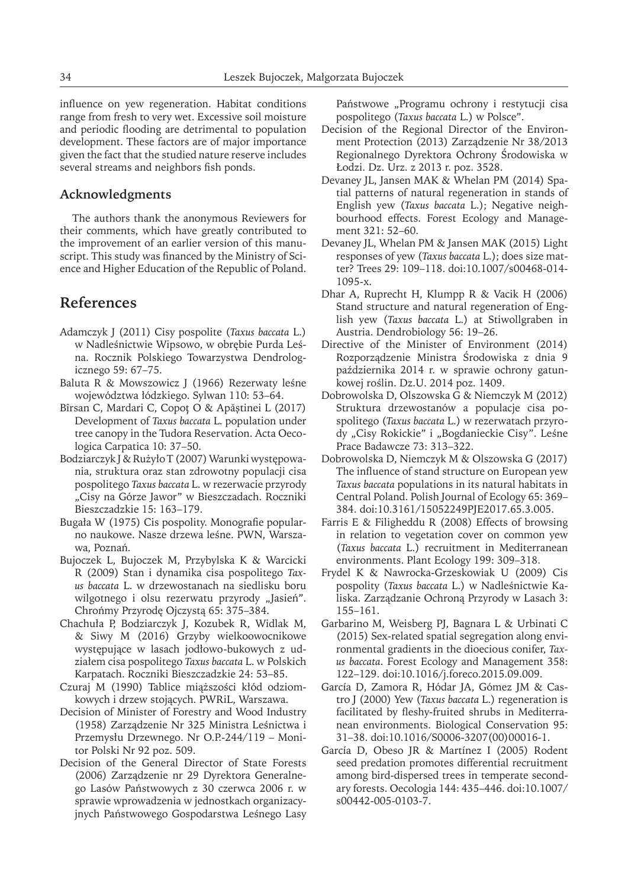influence on yew regeneration. Habitat conditions range from fresh to very wet. Excessive soil moisture and periodic flooding are detrimental to population development. These factors are of major importance given the fact that the studied nature reserve includes several streams and neighbors fish ponds.

## **Acknowledgments**

The authors thank the anonymous Reviewers for their comments, which have greatly contributed to the improvement of an earlier version of this manuscript. This study was financed by the Ministry of Science and Higher Education of the Republic of Poland.

# **References**

- Adamczyk J (2011) Cisy pospolite (*Taxus baccata* L.) w Nadleśnictwie Wipsowo, w obrębie Purda Leśna. Rocznik Polskiego Towarzystwa Dendrologicznego 59: 67–75.
- Baluta R & Mowszowicz J (1966) Rezerwaty leśne województwa łódzkiego. Sylwan 110: 53–64.
- Bîrsan C, Mardari C, Copoţ O & Apăştinei L (2017) Development of *Taxus baccata* L. population under tree canopy in the Tudora Reservation. Acta Oecologica Carpatica 10: 37–50.
- Bodziarczyk J & Rużyło T (2007) Warunki występowania, struktura oraz stan zdrowotny populacji cisa pospolitego *Taxus baccata* L. w rezerwacie przyrody "Cisy na Górze Jawor" w Bieszczadach. Roczniki Bieszczadzkie 15: 163–179.
- Bugała W (1975) Cis pospolity. Monografie popularno naukowe. Nasze drzewa leśne. PWN, Warszawa, Poznań.
- Bujoczek L, Bujoczek M, Przybylska K & Warcicki R (2009) Stan i dynamika cisa pospolitego *Taxus baccata* L. w drzewostanach na siedlisku boru wilgotnego i olsu rezerwatu przyrody "Jasień". Chrońmy Przyrodę Ojczystą 65: 375–384.
- Chachuła P, Bodziarczyk J, Kozubek R, Widlak M, & Siwy M (2016) Grzyby wielkoowocnikowe występujące w lasach jodłowo-bukowych z udziałem cisa pospolitego *Taxus baccata* L. w Polskich Karpatach. Roczniki Bieszczadzkie 24: 53–85.
- Czuraj M (1990) Tablice miąższości kłód odziomkowych i drzew stojących. PWRiL, Warszawa.
- Decision of Minister of Forestry and Wood Industry (1958) Zarządzenie Nr 325 Ministra Leśnictwa i Przemysłu Drzewnego. Nr O.P.-244/119 – Monitor Polski Nr 92 poz. 509.
- Decision of the General Director of State Forests (2006) Zarządzenie nr 29 Dyrektora Generalnego Lasów Państwowych z 30 czerwca 2006 r. w sprawie wprowadzenia w jednostkach organizacyjnych Państwowego Gospodarstwa Leśnego Lasy

Państwowe "Programu ochrony i restytucji cisa pospolitego (*Taxus baccata* L.) w Polsce".

- Decision of the Regional Director of the Environment Protection (2013) Zarządzenie Nr 38/2013 Regionalnego Dyrektora Ochrony Środowiska w Łodzi. Dz. Urz. z 2013 r. poz. 3528.
- Devaney JL, Jansen MAK & Whelan PM (2014) Spatial patterns of natural regeneration in stands of English yew (*Taxus baccata* L.); Negative neighbourhood effects. Forest Ecology and Management 321: 52–60.
- Devaney JL, Whelan PM & Jansen MAK (2015) Light responses of yew (*Taxus baccata* L.); does size matter? Trees 29: 109–118. doi:10.1007/s00468-014- 1095-x.
- Dhar A, Ruprecht H, Klumpp R & Vacik H (2006) Stand structure and natural regeneration of English yew (*Taxus baccata* L.) at Stiwollgraben in Austria. Dendrobiology 56: 19–26.
- Directive of the Minister of Environment (2014) Rozporządzenie Ministra Środowiska z dnia 9 października 2014 r. w sprawie ochrony gatunkowej roślin. Dz.U. 2014 poz. 1409.
- Dobrowolska D, Olszowska G & Niemczyk M (2012) Struktura drzewostanów a populacje cisa pospolitego (*Taxus baccata* L.) w rezerwatach przyrody "Cisy Rokickie" i "Bogdanieckie Cisy". Leśne Prace Badawcze 73: 313–322.
- Dobrowolska D, Niemczyk M & Olszowska G (2017) The influence of stand structure on European yew *Taxus baccata* populations in its natural habitats in Central Poland. Polish Journal of Ecology 65: 369– 384. doi:10.3161/15052249PJE2017.65.3.005.
- Farris E & Filigheddu R (2008) Effects of browsing in relation to vegetation cover on common yew (*Taxus baccata* L.) recruitment in Mediterranean environments. Plant Ecology 199: 309–318.
- Frydel K & Nawrocka-Grzeskowiak U (2009) Cis pospolity (*Taxus baccata* L.) w Nadleśnictwie Kaliska. Zarządzanie Ochroną Przyrody w Lasach 3: 155–161.
- Garbarino M, Weisberg PJ, Bagnara L & Urbinati C (2015) Sex-related spatial segregation along environmental gradients in the dioecious conifer, *Taxus baccata*. Forest Ecology and Management 358: 122–129. doi:10.1016/j.foreco.2015.09.009.
- García D, Zamora R, Hódar JA, Gómez JM & Castro J (2000) Yew (*Taxus baccata* L.) regeneration is facilitated by fleshy-fruited shrubs in Mediterranean environments. Biological Conservation 95: 31–38. doi:10.1016/S0006-3207(00)00016-1.
- García D, Obeso JR & Martínez I (2005) Rodent seed predation promotes differential recruitment among bird-dispersed trees in temperate secondary forests. Oecologia 144: 435–446. doi:10.1007/ s00442-005-0103-7.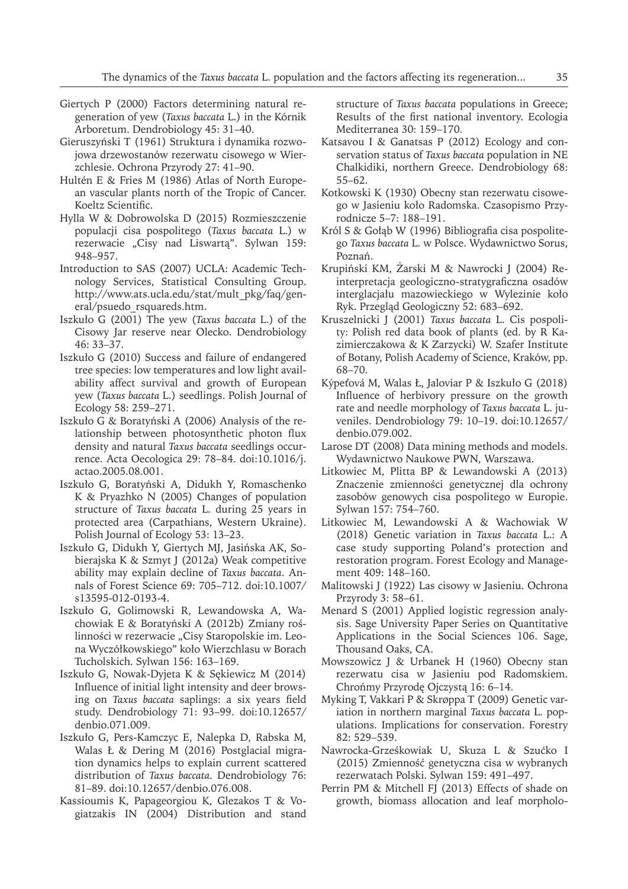- Giertych P (2000) Factors determining natural regeneration of yew (*Taxus baccata* L.) in the Kórnik Arboretum. Dendrobiology 45: 31–40.
- Gieruszyński T (1961) Struktura i dynamika rozwojowa drzewostanów rezerwatu cisowego w Wierzchlesie. Ochrona Przyrody 27: 41–90.
- Hultén E & Fries M (1986) Atlas of North European vascular plants north of the Tropic of Cancer. Koeltz Scientific.
- Hylla W & Dobrowolska D (2015) Rozmieszczenie populacji cisa pospolitego (*Taxus baccata* L.) w rezerwacie "Cisy nad Liswartą". Sylwan 159: 948–957.
- Introduction to SAS (2007) UCLA: Academic Technology Services, Statistical Consulting Group. http://www.ats.ucla.edu/stat/mult\_pkg/faq/general/psuedo\_rsquareds.htm.
- Iszkuło G (2001) The yew (*Taxus baccata* L.) of the Cisowy Jar reserve near Olecko. Dendrobiology 46: 33–37.
- Iszkuło G (2010) Success and failure of endangered tree species: low temperatures and low light availability affect survival and growth of European yew (*Taxus baccata* L.) seedlings. Polish Journal of Ecology 58: 259–271.
- Iszkuło G & Boratyński A (2006) Analysis of the relationship between photosynthetic photon flux density and natural *Taxus baccata* seedlings occurrence. Acta Oecologica 29: 78–84. doi:10.1016/j. actao.2005.08.001.
- Iszkuło G, Boratyński A, Didukh Y, Romaschenko K & Pryazhko N (2005) Changes of population structure of *Taxus baccata* L. during 25 years in protected area (Carpathians, Western Ukraine). Polish Journal of Ecology 53: 13–23.
- Iszkuło G, Didukh Y, Giertych MJ, Jasińska AK, Sobierajska K & Szmyt J (2012a) Weak competitive ability may explain decline of *Taxus baccata*. Annals of Forest Science 69: 705–712. doi:10.1007/ s13595-012-0193-4.
- Iszkuło G, Golimowski R, Lewandowska A, Wachowiak E & Boratyński A (2012b) Zmiany roślinności w rezerwacie "Cisy Staropolskie im. Leona Wyczółkowskiego" koło Wierzchlasu w Borach Tucholskich. Sylwan 156: 163–169.
- Iszkuło G, Nowak-Dyjeta K & Sękiewicz M (2014) Influence of initial light intensity and deer browsing on *Taxus baccata* saplings: a six years field study. Dendrobiology 71: 93–99. doi:10.12657/ denbio.071.009.
- Iszkuło G, Pers-Kamczyc E, Nalepka D, Rabska M, Walas Ł & Dering M (2016) Postglacial migration dynamics helps to explain current scattered distribution of *Taxus baccata*. Dendrobiology 76: 81–89. doi:10.12657/denbio.076.008.
- Kassioumis K, Papageorgiou K, Glezakos T & Vogiatzakis IN (2004) Distribution and stand

structure of *Taxus baccata* populations in Greece; Results of the first national inventory. Ecologia Mediterranea 30: 159–170.

- Katsavou I & Ganatsas P (2012) Ecology and conservation status of *Taxus baccata* population in NE Chalkidiki, northern Greece. Dendrobiology 68: 55–62.
- Kotkowski K (1930) Obecny stan rezerwatu cisowego w Jasieniu koło Radomska. Czasopismo Przyrodnicze 5–7: 188–191.
- Król S & Gołąb W (1996) Bibliografia cisa pospolitego *Taxus baccata* L. w Polsce. Wydawnictwo Sorus, Poznań.
- Krupiński KM, Żarski M & Nawrocki J (2004) Reinterpretacja geologiczno-stratygraficzna osadów interglacjału mazowieckiego w Wylezinie koło Ryk. Przegląd Geologiczny 52: 683–692.
- Kruszelnicki J (2001) *Taxus baccata* L. Cis pospolity: Polish red data book of plants (ed. by R Kazimierczakowa & K Zarzycki) W. Szafer Institute of Botany, Polish Academy of Science, Kraków, pp. 68–70.
- Kýpeťová M, Walas Ł, Jaloviar P & Iszkuło G (2018) Influence of herbivory pressure on the growth rate and needle morphology of *Taxus baccata* L. juveniles. Dendrobiology 79: 10–19. doi:10.12657/ denbio.079.002.
- Larose DT (2008) Data mining methods and models. Wydawnictwo Naukowe PWN, Warszawa.
- Litkowiec M, Plitta BP & Lewandowski A (2013) Znaczenie zmienności genetycznej dla ochrony zasobów genowych cisa pospolitego w Europie. Sylwan 157: 754–760.
- Litkowiec M, Lewandowski A & Wachowiak W (2018) Genetic variation in *Taxus baccata* L.: A case study supporting Poland's protection and restoration program. Forest Ecology and Management 409: 148–160.
- Malitowski J (1922) Las cisowy w Jasieniu. Ochrona Przyrody 3: 58–61.
- Menard S (2001) Applied logistic regression analysis. Sage University Paper Series on Quantitative Applications in the Social Sciences 106. Sage, Thousand Oaks, CA.
- Mowszowicz J & Urbanek H (1960) Obecny stan rezerwatu cisa w Jasieniu pod Radomskiem. Chrońmy Przyrodę Ojczystą 16: 6–14.
- Myking T, Vakkari P & Skrøppa T (2009) Genetic variation in northern marginal *Taxus baccata* L. populations. Implications for conservation. Forestry 82: 529–539.
- Nawrocka-Grześkowiak U, Skuza L & Szućko I (2015) Zmienność genetyczna cisa w wybranych rezerwatach Polski. Sylwan 159: 491–497.
- Perrin PM & Mitchell FJ (2013) Effects of shade on growth, biomass allocation and leaf morpholo-